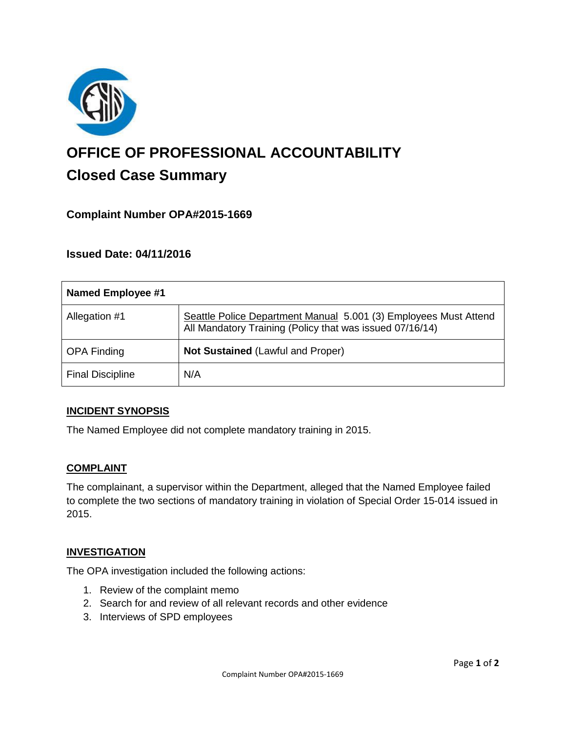

# **OFFICE OF PROFESSIONAL ACCOUNTABILITY Closed Case Summary**

# **Complaint Number OPA#2015-1669**

# **Issued Date: 04/11/2016**

| <b>Named Employee #1</b> |                                                                                                                              |
|--------------------------|------------------------------------------------------------------------------------------------------------------------------|
| Allegation #1            | Seattle Police Department Manual 5.001 (3) Employees Must Attend<br>All Mandatory Training (Policy that was issued 07/16/14) |
| <b>OPA Finding</b>       | <b>Not Sustained (Lawful and Proper)</b>                                                                                     |
| <b>Final Discipline</b>  | N/A                                                                                                                          |

#### **INCIDENT SYNOPSIS**

The Named Employee did not complete mandatory training in 2015.

#### **COMPLAINT**

The complainant, a supervisor within the Department, alleged that the Named Employee failed to complete the two sections of mandatory training in violation of Special Order 15-014 issued in 2015.

#### **INVESTIGATION**

The OPA investigation included the following actions:

- 1. Review of the complaint memo
- 2. Search for and review of all relevant records and other evidence
- 3. Interviews of SPD employees